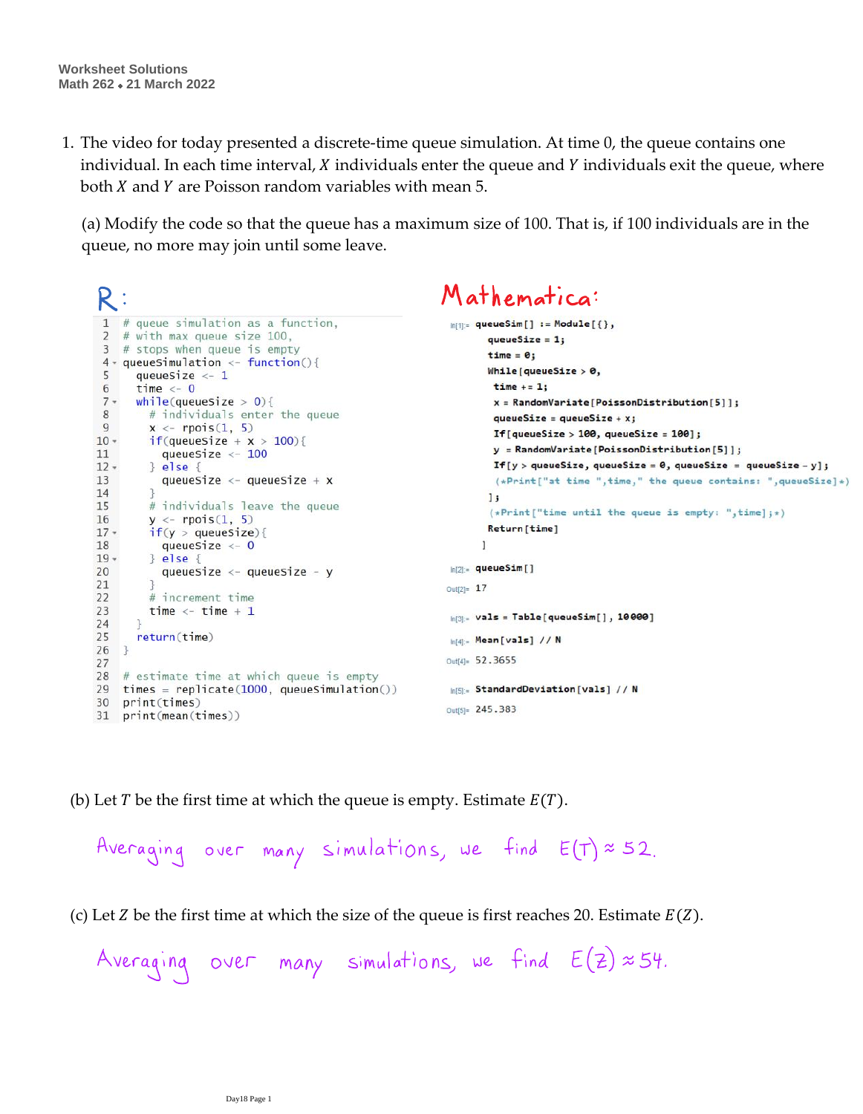The video for today presented a discrete-time queue simulation. At time 0, the queue contains one 1. individual. In each time interval,  $\chi$  individuals enter the queue and  $\chi$  individuals exit the queue, where both  $X$  and  $Y$  are Poisson random variables with mean 5.

(a) Modify the code so that the queue has a maximum size of 100. That is, if 100 individuals are in the queue, no more may join until some leave.

```
Mathematica:
R:1 # queue simulation as a function,
                                                            ln[1]: queueSim[] := Module[{},
 2 # with max queue size 100,<br>3 # stops when queue is empty
                                                                   aueueSize = 1:
                                                                   time = 0:
 4 \cdot queueSimulation \leftarrow function(){
                                                                   While [queueSize > 0,
 5
    queueSize <-1time += 1:6
      time <-0while(queuesize > 0){
 7 -x = RandomVariable[PoissonDistribution[5]];8
        # individuals enter the queue
                                                                    queueSize = queu eSize + x;9
       x \leftarrow \text{rpois}(1, 5)If [queueSize > 100, queueSize = 100];
       if(queuesize + x > 100)10 -y = RandomVariable[PoissonDistribution[5]];
11queuesize \leftarrow 100If [y > queueSize, queueSize = 0, queueSize = queueSize - y];
       } else {
12 -13
         queueSize <- queueSize + x(*Print['at time ", time," the queue contains: ", queueSize]*)14
                                                                   1:15
        # individuals leave the queue
                                                                   (*Print["time until the queue is empty: ",time]; *)16
        y \leftarrow \text{rpois}(1, 5)Return[time]
17 -if(y > queueSize){
18
          queueSize <-0-1
19 -\} else {
                                                            ln[2] = queueSim[]
20
          queueSize \leftarrow queueSize - y
21
                                                            Out[2] = 1722
         # increment time
23
        time <- time +1ln[3] = Vals = Table[queueSim[], 10000]
24
25
      return(time)
                                                            ln[4]:- Mean [vals] // N
26 }
                                                            Out[4]= 52.3655
27
28 # estimate time at which queue is empty
29 times = replicate(1000, queueSimulation())In[5]:= StandardDeviation[vals] // N
30 print(times)
                                                            Out[5]= 245.383
31 print(mean(times))
```
(b) Let T be the first time at which the queue is empty. Estimate  $E(T)$ .

Averaging over many simulations, we find  $E(T) \approx 52$ .

(c) Let Z be the first time at which the size of the queue is first reaches 20. Estimate  $E(Z)$ .

Averaging over many simulations, we find  $E(z) \approx 54$ .